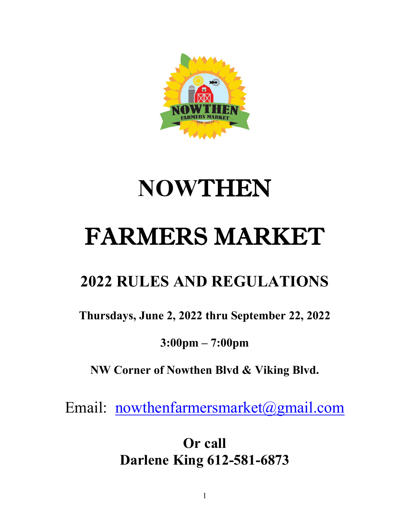

# **NOW**THEN FARMERS MARKET

## **2022 RULES AND REGULATIONS**

**Thursdays, June 2, 2022 thru September 22, 2022** 

**3:00pm – 7:00pm** 

**NW Corner of Nowthen Blvd & Viking Blvd.** 

Email: [nowthenfarmersmarket@gmail.com](mailto:nowthenfarmersmarket@gmail.com)

**Or call Darlene King 612-581-6873**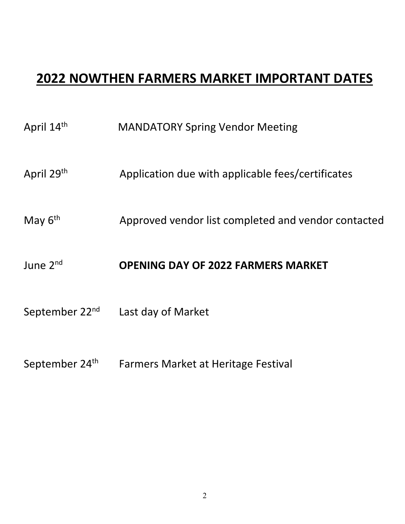### **2022 NOWTHEN FARMERS MARKET IMPORTANT DATES**

- April 29<sup>th</sup> Application due with applicable fees/certificates
- May 6<sup>th</sup> Approved vendor list completed and vendor contacted

#### June 2nd **OPENING DAY OF 2022 FARMERS MARKET**

- September 22<sup>nd</sup> Last day of Market
- September 24<sup>th</sup> Farmers Market at Heritage Festival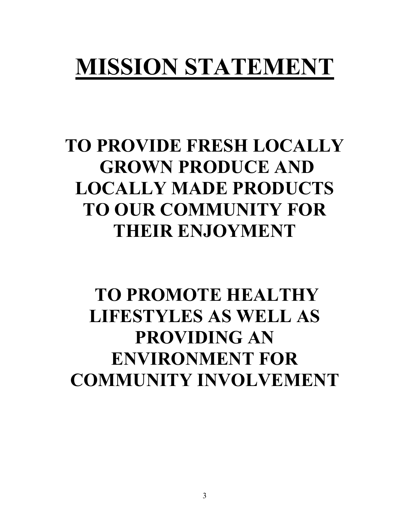## **MISSION STATEMENT**

## **TO PROVIDE FRESH LOCALLY GROWN PRODUCE AND LOCALLY MADE PRODUCTS TO OUR COMMUNITY FOR THEIR ENJOYMENT**

## **TO PROMOTE HEALTHY LIFESTYLES AS WELL AS PROVIDING AN ENVIRONMENT FOR COMMUNITY INVOLVEMENT**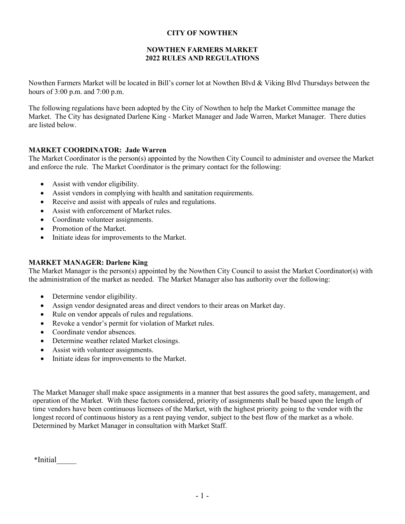#### **CITY OF NOWTHEN**

#### **NOWTHEN FARMERS MARKET 2022 RULES AND REGULATIONS**

Nowthen Farmers Market will be located in Bill's corner lot at Nowthen Blvd & Viking Blvd Thursdays between the hours of 3:00 p.m. and 7:00 p.m.

The following regulations have been adopted by the City of Nowthen to help the Market Committee manage the Market. The City has designated Darlene King - Market Manager and Jade Warren, Market Manager. There duties are listed below.

#### **MARKET COORDINATOR: Jade Warren**

The Market Coordinator is the person(s) appointed by the Nowthen City Council to administer and oversee the Market and enforce the rule. The Market Coordinator is the primary contact for the following:

- Assist with vendor eligibility.
- Assist vendors in complying with health and sanitation requirements.
- Receive and assist with appeals of rules and regulations.
- Assist with enforcement of Market rules.
- Coordinate volunteer assignments.
- Promotion of the Market.
- Initiate ideas for improvements to the Market.

#### **MARKET MANAGER: Darlene King**

The Market Manager is the person(s) appointed by the Nowthen City Council to assist the Market Coordinator(s) with the administration of the market as needed. The Market Manager also has authority over the following:

- Determine vendor eligibility.
- Assign vendor designated areas and direct vendors to their areas on Market day.
- Rule on vendor appeals of rules and regulations.
- Revoke a vendor's permit for violation of Market rules.
- Coordinate vendor absences.
- Determine weather related Market closings.
- Assist with volunteer assignments.
- Initiate ideas for improvements to the Market.

The Market Manager shall make space assignments in a manner that best assures the good safety, management, and operation of the Market. With these factors considered, priority of assignments shall be based upon the length of time vendors have been continuous licensees of the Market, with the highest priority going to the vendor with the longest record of continuous history as a rent paying vendor, subject to the best flow of the market as a whole. Determined by Market Manager in consultation with Market Staff.

\*Initial\_\_\_\_\_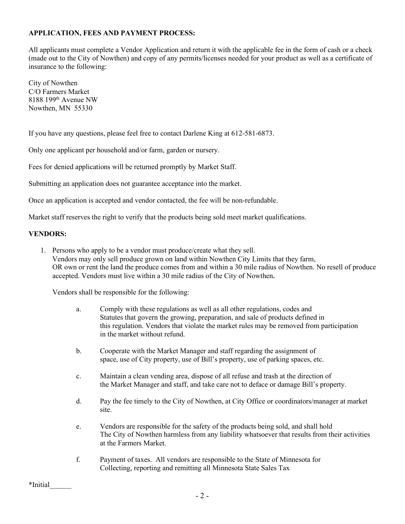#### **APPLICATION, FEES AND PAYMENT PROCESS:**

All applicants must complete a Vendor Application and return it with the applicable fee in the form of cash or a check (made out to the City of Nowthen) and copy of any permits/licenses needed for your product as well as a certificate of insurance to the following:

City of Nowthen C/O Farmers Market 8188 199th Avenue NW Nowthen, MN 55330

If you have any questions, please feel free to contact Darlene King at 612-581-6873.

Only one applicant per household and/or farm, garden or nursery.

Fees for denied applications will be returned promptly by Market Staff.

Submitting an application does not guarantee acceptance into the market.

Once an application is accepted and vendor contacted, the fee will be non-refundable.

Market staff reserves the right to verify that the products being sold meet market qualifications.

#### **VENDORS:**

1. Persons who apply to be a vendor must produce/create what they sell. Vendors may only sell produce grown on land within Nowthen City Limits that they farm, OR own or rent the land the produce comes from and within a 30 mile radius of Nowthen. No resell of produce accepted. Vendors must live within a 30 mile radius of the City of Nowthen**.** 

Vendors shall be responsible for the following:

- a. Comply with these regulations as well as all other regulations, codes and Statutes that govern the growing, preparation, and sale of products defined in this regulation. Vendors that violate the market rules may be removed from participation in the market without refund.
- b. Cooperate with the Market Manager and staff regarding the assignment of space, use of City property, use of Bill's property, use of parking spaces, etc.
- c. Maintain a clean vending area, dispose of all refuse and trash at the direction of the Market Manager and staff, and take care not to deface or damage Bill's property.
- d. Pay the fee timely to the City of Nowthen, at City Office or coordinators/manager at market site.
- e. Vendors are responsible for the safety of the products being sold, and shall hold The City of Nowthen harmless from any liability whatsoever that results from their activities at the Farmers Market.
- f. Payment of taxes. All vendors are responsible to the State of Minnesota for Collecting, reporting and remitting all Minnesota State Sales Tax

\*Initial\_\_\_\_\_\_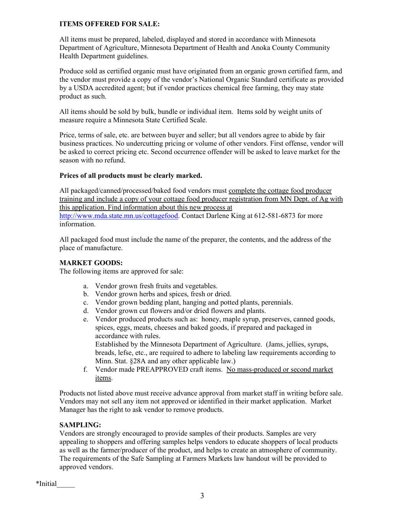#### **ITEMS OFFERED FOR SALE:**

All items must be prepared, labeled, displayed and stored in accordance with Minnesota Department of Agriculture, Minnesota Department of Health and Anoka County Community Health Department guidelines.

Produce sold as certified organic must have originated from an organic grown certified farm, and the vendor must provide a copy of the vendor's National Organic Standard certificate as provided by a USDA accredited agent; but if vendor practices chemical free farming, they may state product as such.

All items should be sold by bulk, bundle or individual item. Items sold by weight units of measure require a Minnesota State Certified Scale.

Price, terms of sale, etc. are between buyer and seller; but all vendors agree to abide by fair business practices. No undercutting pricing or volume of other vendors. First offense, vendor will be asked to correct pricing etc. Second occurrence offender will be asked to leave market for the season with no refund.

#### **Prices of all products must be clearly marked.**

All packaged/canned/processed/baked food vendors must complete the cottage food producer training and include a copy of your cottage food producer registration from MN Dept. of Ag with this application. Find information about this new process at [http://www.mda.state.mn.us/cottagefood.](http://www.mda.state.mn.us/cottagefood) Contact Darlene King at 612-581-6873 for more information.

All packaged food must include the name of the preparer, the contents, and the address of the place of manufacture.

#### **MARKET GOODS:**

The following items are approved for sale:

- a. Vendor grown fresh fruits and vegetables.
- b. Vendor grown herbs and spices, fresh or dried.
- c. Vendor grown bedding plant, hanging and potted plants, perennials.
- d. Vendor grown cut flowers and/or dried flowers and plants.
- e. Vendor produced products such as: honey, maple syrup, preserves, canned goods, spices, eggs, meats, cheeses and baked goods, if prepared and packaged in accordance with rules. Established by the Minnesota Department of Agriculture. (Jams, jellies, syrups,

breads, lefse, etc., are required to adhere to labeling law requirements according to Minn. Stat. §28A and any other applicable law.)

f. Vendor made PREAPPROVED craft items. No mass-produced or second market items.

Products not listed above must receive advance approval from market staff in writing before sale. Vendors may not sell any item not approved or identified in their market application. Market Manager has the right to ask vendor to remove products.

#### **SAMPLING:**

Vendors are strongly encouraged to provide samples of their products. Samples are very appealing to shoppers and offering samples helps vendors to educate shoppers of local products as well as the farmer/producer of the product, and helps to create an atmosphere of community. The requirements of the Safe Sampling at Farmers Markets law handout will be provided to approved vendors.

\*Initial\_\_\_\_\_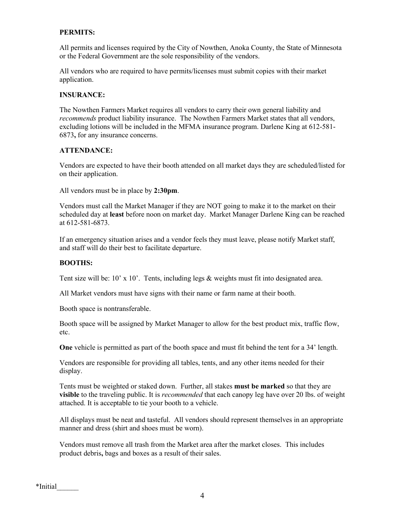#### **PERMITS:**

All permits and licenses required by the City of Nowthen, Anoka County, the State of Minnesota or the Federal Government are the sole responsibility of the vendors.

All vendors who are required to have permits/licenses must submit copies with their market application.

#### **INSURANCE:**

The Nowthen Farmers Market requires all vendors to carry their own general liability and *recommends* product liability insurance. The Nowthen Farmers Market states that all vendors, excluding lotions will be included in the MFMA insurance program. Darlene King at 612-581- 6873**,** for any insurance concerns.

#### **ATTENDANCE:**

Vendors are expected to have their booth attended on all market days they are scheduled/listed for on their application.

All vendors must be in place by **2:30pm**.

Vendors must call the Market Manager if they are NOT going to make it to the market on their scheduled day at **least** before noon on market day. Market Manager Darlene King can be reached at 612-581-6873.

If an emergency situation arises and a vendor feels they must leave, please notify Market staff, and staff will do their best to facilitate departure.

#### **BOOTHS:**

Tent size will be:  $10'$  x  $10'$ . Tents, including legs & weights must fit into designated area.

All Market vendors must have signs with their name or farm name at their booth.

Booth space is nontransferable.

Booth space will be assigned by Market Manager to allow for the best product mix, traffic flow, etc.

**One** vehicle is permitted as part of the booth space and must fit behind the tent for a 34' length.

Vendors are responsible for providing all tables, tents, and any other items needed for their display.

Tents must be weighted or staked down. Further, all stakes **must be marked** so that they are **visible** to the traveling public. It is *recommended* that each canopy leg have over 20 lbs. of weight attached. It is acceptable to tie your booth to a vehicle.

All displays must be neat and tasteful. All vendors should represent themselves in an appropriate manner and dress (shirt and shoes must be worn).

Vendors must remove all trash from the Market area after the market closes. This includes product debris**,** bags and boxes as a result of their sales.